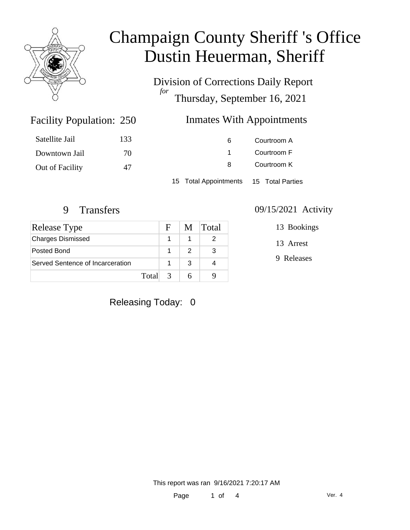

Division of Corrections Daily Report *for* Thursday, September 16, 2021

### Inmates With Appointments

| Satellite Jail  | 133 | 6                                      | Courtroom A |  |
|-----------------|-----|----------------------------------------|-------------|--|
| Downtown Jail   | 70  |                                        | Courtroom F |  |
| Out of Facility | 47  | 8                                      | Courtroom K |  |
|                 |     | 15 Total Appointments 15 Total Parties |             |  |

Facility Population: 250

| Release Type                     | - F - | M Total |
|----------------------------------|-------|---------|
| <b>Charges Dismissed</b>         |       |         |
| Posted Bond                      |       |         |
| Served Sentence of Incarceration |       |         |
| Total $\sqrt{3}$                 |       |         |

#### 9 Transfers 09/15/2021 Activity

13 Bookings

13 Arrest

9 Releases

#### Releasing Today: 0

This report was ran 9/16/2021 7:20:17 AM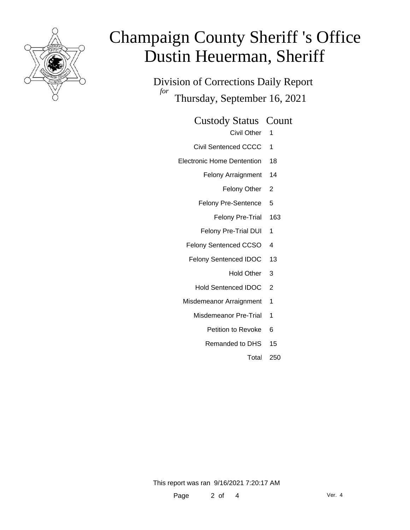

Division of Corrections Daily Report *for* Thursday, September 16, 2021

Custody Status Count

- Civil Other 1
- Civil Sentenced CCCC 1
- Electronic Home Dentention 18
	- Felony Arraignment 14
		- Felony Other 2
	- Felony Pre-Sentence 5
		- Felony Pre-Trial 163
	- Felony Pre-Trial DUI 1
	- Felony Sentenced CCSO 4
	- Felony Sentenced IDOC 13
		- Hold Other 3
		- Hold Sentenced IDOC 2
	- Misdemeanor Arraignment 1
		- Misdemeanor Pre-Trial 1
			- Petition to Revoke 6
			- Remanded to DHS 15
				- Total 250

This report was ran 9/16/2021 7:20:17 AM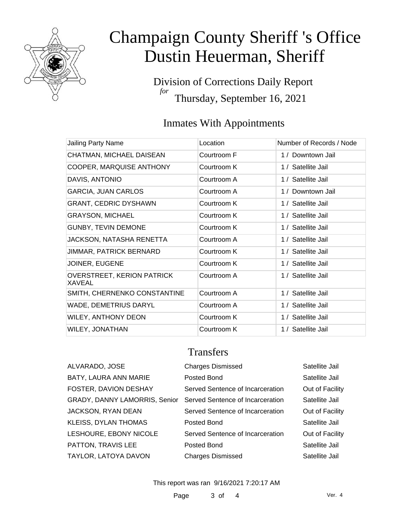

Division of Corrections Daily Report *for* Thursday, September 16, 2021

### Inmates With Appointments

| Jailing Party Name                          | Location    | Number of Records / Node |
|---------------------------------------------|-------------|--------------------------|
| CHATMAN, MICHAEL DAISEAN                    | Courtroom F | 1 / Downtown Jail        |
| COOPER, MARQUISE ANTHONY                    | Courtroom K | 1 / Satellite Jail       |
| DAVIS, ANTONIO                              | Courtroom A | 1 / Satellite Jail       |
| <b>GARCIA, JUAN CARLOS</b>                  | Courtroom A | 1 / Downtown Jail        |
| <b>GRANT, CEDRIC DYSHAWN</b>                | Courtroom K | 1 / Satellite Jail       |
| <b>GRAYSON, MICHAEL</b>                     | Courtroom K | 1 / Satellite Jail       |
| <b>GUNBY, TEVIN DEMONE</b>                  | Courtroom K | 1 / Satellite Jail       |
| JACKSON, NATASHA RENETTA                    | Courtroom A | 1 / Satellite Jail       |
| <b>JIMMAR, PATRICK BERNARD</b>              | Courtroom K | 1 / Satellite Jail       |
| JOINER, EUGENE                              | Courtroom K | 1 / Satellite Jail       |
| <b>OVERSTREET, KERION PATRICK</b><br>XAVEAL | Courtroom A | 1 / Satellite Jail       |
| SMITH, CHERNENKO CONSTANTINE                | Courtroom A | 1 / Satellite Jail       |
| WADE, DEMETRIUS DARYL                       | Courtroom A | 1 / Satellite Jail       |
| WILEY, ANTHONY DEON                         | Courtroom K | 1 / Satellite Jail       |
| WILEY, JONATHAN                             | Courtroom K | 1 / Satellite Jail       |

### **Transfers**

| ALVARADO, JOSE                                                 | <b>Charges Dismissed</b>         | Satellite Jail  |
|----------------------------------------------------------------|----------------------------------|-----------------|
| BATY, LAURA ANN MARIE                                          | Posted Bond                      | Satellite Jail  |
| FOSTER, DAVION DESHAY                                          | Served Sentence of Incarceration | Out of Facility |
| GRADY, DANNY LAMORRIS, Senior Served Sentence of Incarceration |                                  | Satellite Jail  |
| JACKSON, RYAN DEAN                                             | Served Sentence of Incarceration | Out of Facility |
| KLEISS, DYLAN THOMAS                                           | Posted Bond                      | Satellite Jail  |
| LESHOURE, EBONY NICOLE                                         | Served Sentence of Incarceration | Out of Facility |
| PATTON, TRAVIS LEE                                             | Posted Bond                      | Satellite Jail  |
| TAYLOR, LATOYA DAVON                                           | <b>Charges Dismissed</b>         | Satellite Jail  |